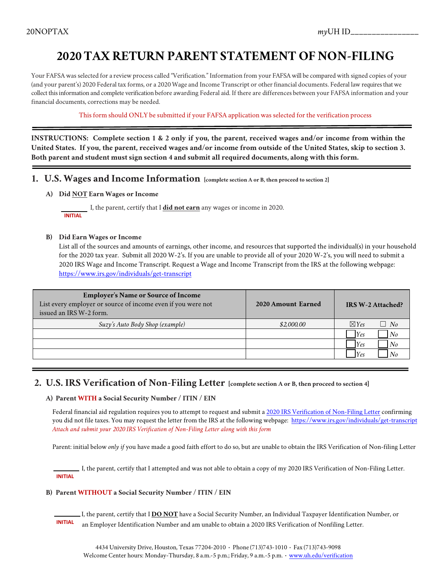# **2020 TAX RETURN PARENT STATEMENT OF NON-FILING**

Your FAFSA was selected for a review process called "Verification." Information from your FAFSA will be compared with signed copies of your (and your parent's) 2020 Federal tax forms, or a 2020 Wage and Income Transcript or otherfinancial documents. Federal law requires that we collect this information and complete verification before awarding Federal aid. If there are differences between your FAFSA information and your financial documents, corrections may be needed.

This form should ONLY be submitted if your FAFSA application was selected forthe verification process

**INSTRUCTIONS: Complete section 1 & 2 only if you, the parent, received wages and/or income from within the United States. If you, the parent, received wages and/or income from outside of the United States, skip to section 3. Both parent and student must sign section 4 and submit all required documents, along with this form.**

- **1. U.S. Wages and Income Information [complete section A or B, then proceed to section 2]**
	- **A) Did NOT Earn Wages or Income**

 I, the parent, certify that I **did not earn** any wages or income in 2020.  **INITIAL**

#### **B) Did Earn Wages or Income**

List all of the sources and amounts of earnings, other income, and resources that supported the individual(s) in your household for the 2020 tax year. Submit all 2020 W-2's. If you are unable to provide all of your 2020 W-2's, you will need to submit a 2020 IRS Wage and Income Transcript. Request a Wage and Income Transcript from the IRS at the following webpage: <https://www.irs.gov/individuals/get-transcript>

| <b>Employer's Name or Source of Income</b><br>List every employer or source of income even if you were not<br>issued an IRS W-2 form. | 2020 Amount Earned | <b>IRS W-2 Attached?</b>  |
|---------------------------------------------------------------------------------------------------------------------------------------|--------------------|---------------------------|
| Suzy's Auto Body Shop (example)                                                                                                       | \$2,000.00         | $\nabla$ Yes<br>$\Box$ No |
|                                                                                                                                       |                    | <b>Yes</b><br>No          |
|                                                                                                                                       |                    | Yes<br>No                 |
|                                                                                                                                       |                    | Yes                       |

### **2. U.S. IRS Verification of Non-Filing Letter [complete section A or B, then proceed to section 4]**

#### **A) Parent WITH a Social Security Number / ITIN / EIN**

Federal financial aid regulation requires you to attempt to request and submit a 2020 [IRS Verification of Non-Filing Letter](https://www.irs.gov/individuals/get-transcript) confirming you did not file taxes. You may request the letter from the IRS at the following webpage: <https://www.irs.gov/individuals/get-transcript> *Attach and submit your 2020 IRS Verification of Non-Filing Letter along with this form*

Parent: initial below *only if* you have made a good faith effort to do so, but are unable to obtain the IRS Verification of Non-filing Letter

 I, the parent, certify that I attempted and was not able to obtain a copy of my 2020 IRS Verification of Non-Filing Letter.  **INITIAL**

#### **B) Parent WITHOUT a Social Security Number / ITIN / EIN**

I, the parent, certify that I **DO NOT** have a Social Security Number, an Individual Taxpayer Identification Number, or<br>INITIAL an Employar Liquidication Number and am unable to obtain a 2020 IBS Varification of Nonfiling L an Employer Identification Number and am unable to obtain a 2020 IRS Verification of Nonfiling Letter.